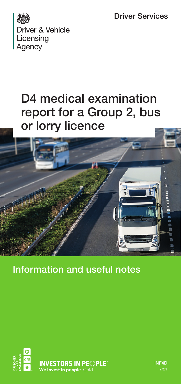Driver Services



## D4 medical examination report for a Group 2, bus or lorry licence



Information and useful notes



INF4D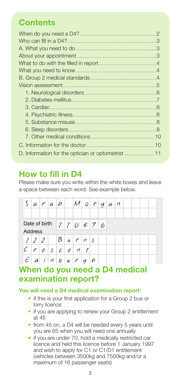### **Contents**

| D. Information for the optician or optometrist11 |  |
|--------------------------------------------------|--|

### **How to fill in D4**

Please make sure you write within the white boxes and leave a space between each word. See example below.

|                | a             | $\sqrt{ }$          | a h           |              |               | $ \mathcal{M} $ | 0               | $\sqrt{ }$ | $\overline{q}$ | a | $\sqrt{n}$ |  |  |  |
|----------------|---------------|---------------------|---------------|--------------|---------------|-----------------|-----------------|------------|----------------|---|------------|--|--|--|
|                |               |                     |               |              |               |                 |                 |            |                |   |            |  |  |  |
|                | Date of birth |                     |               |              |               | 220376          |                 |            |                |   |            |  |  |  |
| <b>Address</b> |               |                     |               |              |               |                 |                 |            |                |   |            |  |  |  |
|                | 1 2 2         |                     |               | B u r        |               |                 | $\vert n \vert$ | S          |                |   |            |  |  |  |
|                | r             | e                   | $\mathcal{S}$ | c e          |               | п               | t               |            |                |   |            |  |  |  |
| E              |               | $\cdot$ $i^{\perp}$ | M             | $\mathbf{b}$ | $\mathcal{U}$ | r               | a               | И          |                |   |            |  |  |  |

### **When do you need a D4 medical examination report?**

#### **You will need a D4 medical examination report:**

- if this is your first application for a Group 2 bus or lorry licence
- if you are applying to renew your Group 2 entitlement at 45
- from 45 on, a D4 will be needed every 5 years until you are 65 when you will need one annually
- if you are under 70, hold a medically restricted car licence and held this licence before 1 January 1997 and wish to apply for C1 or C1/D1 entitlement (vehicles between 3500kg and 7500kg and/or a maximum of 16 passenger seats)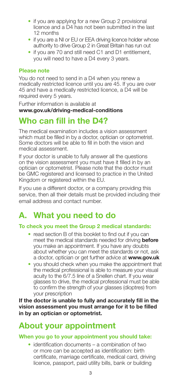- if you are applying for a new Group 2 provisional licence and a D4 has not been submitted in the last 12 months
- if you are a NI or EU or EEA driving licence holder whose authority to drive Group 2 in Great Britain has run out
- if you are 70 and still need C1 and D1 entitlement. you will need to have a D4 every 3 years.

#### **Please note**

You do not need to send in a D4 when you renew a medically restricted licence until you are 45. If you are over 45 and have a medically restricted licence, a D4 will be required every 5 years.

Further information is available at **www.gov.uk/driving-medical-conditions**

### **Who can fill in the D4?**

The medical examination includes a vision assessment which must be filled in by a doctor, optician or optometrist. Some doctors will be able to fill in both the vision and medical assessment.

If your doctor is unable to fully answer all the questions on the vision assessment you must have it filled in by an optician or optometrist. Please note that the doctor must be GMC registered and licensed to practice in the United Kingdom or registered within the EU.

If you use a different doctor, or a company providing this service, then all their details must be provided including their email address and contact number.

### **A. What you need to do**

#### **To check you meet the Group 2 medical standards:**

- read section B of this booklet to find out if you can meet the medical standards needed for driving **before** you make an appointment. If you have any doubts about whether you can meet the standards or not, ask a doctor, optician or get further advice at **www.gov.uk**
- you should check when you make the appointment that the medical professional is able to measure your visual acuity to the 6/7.5 line of a Snellen chart. If you wear glasses to drive, the medical professional must be able to confirm the strength of your glasses (dioptres) from your prescription

**If the doctor is unable to fully and accurately fill in the vision assessment you must arrange for it to be filled in by an optician or optometrist.**

### **About your appointment**

#### **When you go to your appointment you should take:**

• identification documents – a combination of two or more can be accepted as identification: birth certificate, marriage certificate, medical card, driving licence, passport, paid utility bills, bank or building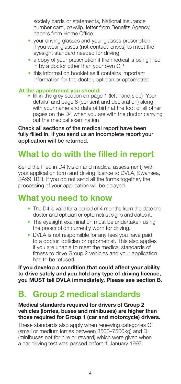society cards or statements, National Insurance number card, payslip, letter from Benefits Agency, papers from Home Office

- your driving glasses and your glasses prescription if you wear glasses (not contact lenses) to meet the eyesight standard needed for driving
- a copy of your prescription if the medical is being filled in by a doctor other than your own GP
- this information booklet as it contains important information for the doctor, optician or optometrist

**At the appointment you should:** • fill in the grey section on page 1 (left hand side) 'Your details' and page 8 (consent and declaration) along with your name and date of birth at the foot of all other pages on the D4 when you are with the doctor carrying out the medical examination

Check all sections of the medical report have been fully filled in. If you send us an incomplete report your application will be returned.

### **What to do with the filled in report**

Send the filled in D4 (vision and medical assessment) with your application form and driving licence to DVLA, Swansea, SA99 1BR. If you do not send all the forms together, the processing of your application will be delayed.

### **What you need to know**

- The D4 is valid for a period of 4 months from the date the doctor and optician or optometrist signs and dates it.
- The evesight examination must be undertaken using the prescription currently worn for driving.
- DVLA is not responsible for any fees you have paid to a doctor, optician or optometrist. This also applies if you are unable to meet the medical standards of fitness to drive Group 2 vehicles and your application has to be refused.

**If you develop a condition that could affect your ability to drive safely and you hold any type of driving licence, you MUST tell DVLA immediately. Please see section B.**

### **B. Group 2 medical standards**

#### **Medical standards required for drivers of Group 2 vehicles (lorries, buses and minibuses) are higher than those required for Group 1 (car and motorcycle) drivers.**

These standards also apply when renewing categories C1 (small or medium lorries between 3500–7500kg) and D1 (minibuses not for hire or reward) which were given when a car driving test was passed before 1 January 1997.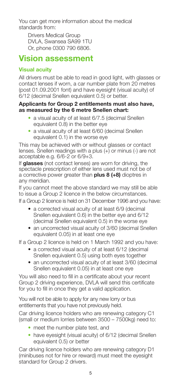You can get more information about the medical standards from:

Drivers Medical Group DVLA, Swansea SA99 1TU Or, phone 0300 790 6806.

### **Vision assessment**

### **Visual acuity**

All drivers must be able to read in good light, with glasses or contact lenses if worn, a car number plate from 20 metres (post 01.09.2001 font) and have eyesight (visual acuity) of 6/12 (decimal Snellen equivalent 0.5) or better.

#### **Applicants for Group 2 entitlements must also have, as measured by the 6 metre Snellen chart:**

- a visual acuity of at least 6/7.5 (decimal Snellen equivalent 0.8) in the better eye
- a visual acuity of at least 6/60 (decimal Snellen equivalent 0.1) in the worse eye

This may be achieved with or without glasses or contact lenses. Snellen readings with a plus  $(+)$  or minus (-) are not acceptable e.g. 6/6-2 or 6/9+3.

If **glasses** (not contact lenses) are worn for driving, the spectacle prescription of either lens used must not be of a corrective power greater than **plus 8 (+8)** dioptres in any meridian.

If you cannot meet the above standard we may still be able to issue a Group 2 licence in the below circumstances. If a Group 2 licence is held on 31 December 1996 and you have:

- a corrected visual acuity of at least 6/9 (decimal Snellen equivalent 0.6) in the better eve and 6/12 (decimal Snellen equivalent 0.5) in the worse eye
- an uncorrected visual acuity of 3/60 (decimal Snellen equivalent 0.05) in at least one eye

If a Group 2 licence is held on 1 March 1992 and you have:

- a corrected visual acuity of at least 6/12 (decimal Snellen equivalent 0.5) using both eyes together
- an uncorrected visual acuity of at least 3/60 (decimal Snellen equivalent 0.05) in at least one eye

You will also need to fill in a certificate about your recent Group 2 driving experience, DVLA will send this certificate for you to fill in once they get a valid application.

You will not be able to apply for any new lorry or bus entitlements that you have not previously held.

Car driving licence holders who are renewing category C1 (small or medium lorries between 3500 – 7500kg) need to:

- meet the number plate test, and
- have eyesight (visual acuity) of 6/12 (decimal Snellen equivalent 0.5) or better

Car driving licence holders who are renewing category D1 (minibuses not for hire or reward) must meet the eyesight standard for Group 2 drivers.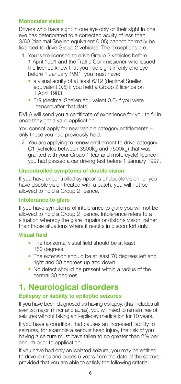#### **Monocular vision**

Drivers who have sight in one eye only or their sight in one eye has deteriorated to a corrected acuity of less than 3/60 (decimal Snellen equivalent 0.05) cannot normally be licensed to drive Group 2 vehicles. The exceptions are:

- 1. You were licensed to drive Group 2 vehicles before 1 April 1991 and the Traffic Commissioner who issued the licence knew that you had sight in only one eye before 1 January 1991, you must have:
	- a visual acuity of at least 6/12 (decimal Snellen equivalent 0.5) if you held a Group 2 licence on 1 April 1983
	- 6/9 (decimal Snellen equivalent 0.6) if you were licensed after that date

DVLA will send you a certificate of experience for you to fill in once they get a valid application.

You cannot apply for new vehicle category entitlements – only those you had previously held.

2. You are applying to renew entitlement to drive category C1 (vehicles between 3500kg and 7500kg) that was granted with your Group 1 (car and motorcycle) licence if you had passed a car driving test before 1 January 1997.

#### **Uncontrolled symptoms of double vision**

If you have uncontrolled symptoms of double vision, or you have double vision treated with a patch, you will not be allowed to hold a Group 2 licence.

#### **Intolerance to glare**

If you have symptoms of intolerance to glare you will not be allowed to hold a Group 2 licence. Intolerance refers to a situation whereby the glare impairs or distorts vision, rather than those situations where it results in discomfort only.

#### **Visual field**

- The horizontal visual field should be at least 160 degrees.
- The extension should be at least 70 degrees left and right and 30 degrees up and down.
- No defect should be present within a radius of the central 30 degrees.

### **1. Neurological disorders**

#### **Epilepsy or liability to epileptic seizures**

If you have been diagnosed as having epilepsy, (this includes all events: major, minor and auras), you will need to remain free of seizures without taking anti-epilepsy medication for 10 years.

If you have a condition that causes an increased liability to seizures, for example a serious head injury, the risk of you having a seizure must have fallen to no greater than 2% per annum prior to application.

If you have had only an isolated seizure, you may be entitled to drive lorries and buses 5 years from the date of the seizure, provided that you are able to satisfy the following criteria: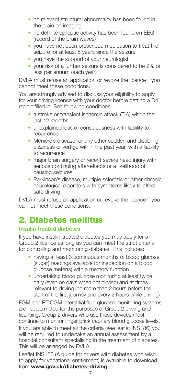- no relevant structural abnormality has been found in the brain on imaging
- no definite epileptic activity has been found on EEG (record of the brain waves)
- you have not been prescribed medication to treat the seizure for at least 5 years since the seizure
- you have the support of your neurologist
- your risk of a further seizure is considered to be 2% or less per annum (each year)

DVLA must refuse an application or revoke the licence if you cannot meet these conditions.

You are strongly advised to discuss your eligibility to apply for your driving licence with your doctor before getting a D4 report filled in. See following conditions:

- a stroke or transient ischemic attack (TIA) within the last 12 months
- unexplained loss of consciousness with liability to recurrence
- Meniere's disease, or any other sudden and disabling dizziness or vertigo within the past year, with a liability to recurrence
- major brain surgery or recent severe head injury with serious continuing after-effects or a likelihood of causing seizures
- Parkinson's disease, multiple sclerosis or other chronic neurological disorders with symptoms likely to affect safe driving

DVLA must refuse an application or revoke the licence if you cannot meet these conditions.

## 2. Diabetes mellitus

#### **Insulin treated diabetes**

If you have insulin-treated diabetes you may apply for a Group 2 licence as long as you can meet the strict criteria for controlling and monitoring diabetes. This includes:

- having at least 3 continuous months of blood glucose (sugar) readings available for inspection on a blood glucose meter(s) with a memory function
- undertaking blood glucose monitoring at least twice daily (even on days when not driving) and at times relevant to driving (no more than 2 hours before the start of the first journey and every 2 hours while driving)

FGM and RT-CGM interstitial fluid glucose monitoring systems are not permitted for the purposes of Group 2 driving and licensing. Group 2 drivers who use these devices must continue to monitor finger prick capillary blood glucose levels. If you are able to meet all the criteria (see leaflet INS186) you will be required to undertake an annual assessment by a hospital consultant specialising in the treatment of diabetes. This will be arranged by DVLA.

Leaflet INS186 (A guide for drivers with diabetes who wish to apply for vocational entitlement) is available to download from **<www.gov.uk/diabetes-driving>**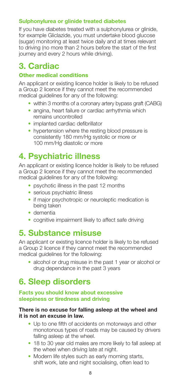#### **Sulphonylurea or glinide treated diabetes**

If you have diabetes treated with a sulphonylurea or glinide, for example Gliclazide, you must undertake blood glucose (sugar) monitoring at least twice daily and at times relevant to driving (no more than 2 hours before the start of the first journey and every 2 hours while driving).

### **3. Cardiac**

#### Other medical conditions

An applicant or existing licence holder is likely to be refused a Group 2 licence if they cannot meet the recommended medical guidelines for any of the following:

- within 3 months of a coronary artery bypass graft (CABG)
- angina, heart failure or cardiac arrhythmia which remains uncontrolled
- implanted cardiac defibrillator
- hypertension where the resting blood pressure is consistently 180 mm/Hg systolic or more or 100 mm/Hg diastolic or more

### **4. Psychiatric illness**

An applicant or existing licence holder is likely to be refused a Group 2 licence if they cannot meet the recommended medical guidelines for any of the following:

- psychotic illness in the past 12 months
- serious psychiatric illness
- if major psychotropic or neuroleptic medication is being taken
- dementia
- cognitive impairment likely to affect safe driving

### **5. Substance misuse**

An applicant or existing licence holder is likely to be refused a Group 2 licence if they cannot meet the recommended medical guidelines for the following:

• alcohol or drug misuse in the past 1 year or alcohol or drug dependance in the past 3 years

### **6. Sleep disorders**

#### **Facts you should know about excessive sleepiness or tiredness and driving**

#### **There is no excuse for falling asleep at the wheel and it is not an excuse in law.**

- Up to one fifth of accidents on motorways and other monotonous types of roads may be caused by drivers falling asleep at the wheel.
- 18 to 30 year old males are more likely to fall asleep at the wheel when driving late at night.
- Modern life styles such as early morning starts, shift work, late and night socialising, often lead to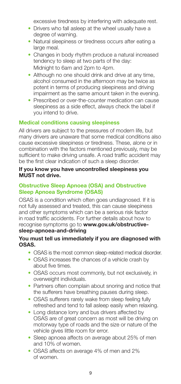excessive tiredness by interfering with adequate rest.

- Drivers who fall asleep at the wheel usually have a degree of warning.
- Natural sleepiness or tiredness occurs after eating a large meal.
- Changes in body rhythm produce a natural increased tendency to sleep at two parts of the day: Midnight to 6am and 2pm to 4pm.
- Although no one should drink and drive at any time, alcohol consumed in the afternoon may be twice as potent in terms of producing sleepiness and driving impairment as the same amount taken in the evening.
- Prescribed or over-the-counter medication can cause sleepiness as a side effect, always check the label if you intend to drive.

#### **Medical conditions causing sleepiness**

All drivers are subject to the pressures of modern life, but many drivers are unaware that some medical conditions also cause excessive sleepiness or tiredness. These, alone or in combination with the factors mentioned previously, may be sufficient to make driving unsafe. A road traffic accident may be the first clear indication of such a sleep disorder.

#### **If you know you have uncontrolled sleepiness you MUST not drive.**

#### **Obstructive Sleep Apnoea (OSA) and Obstructive Sleep Apnoea Syndrome (OSAS)**

OSAS is a condition which often goes undiagnosed. If it is not fully assessed and treated, this can cause sleepiness and other symptoms which can be a serious risk factor in road traffic accidents. For further details about how to recognise symptoms go to **www.gov.uk/obstructivesleep-apnoea-and-driving**

#### **You must tell us immediately if you are diagnosed with OSAS.**

- OSAS is the most common sleep-related medical disorder.
- OSAS increases the chances of a vehicle crash by about five times.
- OSAS occurs most commonly, but not exclusively, in overweight individuals.
- Partners often complain about snoring and notice that the sufferers have breathing pauses during sleep.
- OSAS sufferers rarely wake from sleep feeling fully refreshed and tend to fall asleep easily when relaxing.
- Long distance lorry and bus drivers affected by OSAS are of great concern as most will be driving on motorway type of roads and the size or nature of the vehicle gives little room for error.
- Sleep apnoea affects on average about 25% of men and 10% of women.
- OSAS affects on average 4% of men and 2% of women.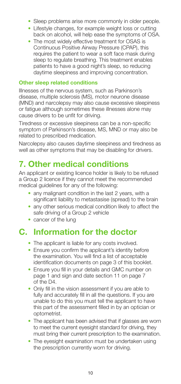- Sleep problems arise more commonly in older people.
- Lifestyle changes, for example weight loss or cutting back on alcohol, will help ease the symptoms of OSA.
- The most widely effective treatment for OSAS is Continuous Positive Airway Pressure (CPAP), this requires the patient to wear a soft face mask during sleep to regulate breathing. This treatment enables patients to have a good night's sleep, so reducing daytime sleepiness and improving concentration.

#### **Other sleep related conditions**

Illnesses of the nervous system, such as Parkinson's disease, multiple sclerosis (MS), motor neurone disease (MND) and narcolepsy may also cause excessive sleepiness or fatigue although sometimes these illnesses alone may cause drivers to be unfit for driving.

Tiredness or excessive sleepiness can be a non-specific symptom of Parkinson's disease, MS, MND or may also be related to prescribed medication.

Narcolepsy also causes daytime sleepiness and tiredness as well as other symptoms that may be disabling for drivers.

### **7. Other medical conditions**

An applicant or existing licence holder is likely to be refused a Group 2 licence if they cannot meet the recommended medical quidelines for any of the following:

- any malignant condition in the last 2 years, with a significant liability to metastasise (spread) to the brain
- any other serious medical condition likely to affect the safe driving of a Group 2 vehicle
- cancer of the lung

### **C. Information for the doctor**

- The applicant is liable for any costs involved.
- Ensure you confirm the applicant's identity before the examination. You will find a list of acceptable identification documents on page 3 of this booklet.
- Ensure you fill in your details and GMC number on page 1 and sign and date section 11 on page 7 of the D4.
- Only fill in the vision assessment if you are able to fully and accurately fill in all the questions. If you are unable to do this you must tell the applicant to have this part of the assessment filled in by an optician or optometrist.
- The applicant has been advised that if glasses are worn to meet the current eyesight standard for driving, they must bring their current prescription to the examination.
- The evesight examination must be undertaken using the prescription currently worn for driving.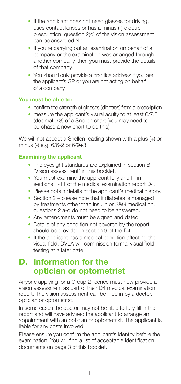- If the applicant does not need glasses for driving. uses contact lenses or has a minus (-) dioptre prescription, question 2(d) of the vision assessment can be answered No.
- If you're carrying out an examination on behalf of a company or the examination was arranged through another company, then you must provide the details of that company.
- You should only provide a practice address if you are the applicant's GP or you are not acting on behalf of a company.

#### **You must be able to:**

- confirm the strength of glasses (dioptres) from a prescription
- measure the applicant's visual acuity to at least 6/7.5 (decimal 0.8) of a Snellen chart (you may need to purchase a new chart to do this)

We will not accept a Snellen reading shown with a plus (+) or minus (-) e.g. 6/6-2 or 6/9+3.

#### **Examining the applicant**

- The eyesight standards are explained in section B, 'Vision assessment' in this booklet.
- You must examine the applicant fully and fill in sections 1-11 of the medical examination report D4.
- Please obtain details of the applicant's medical history.
- Section 2 please note that if diabetes is managed by treatments other than insulin or S&G medication, questions 2 a-d do not need to be answered.
- Any amendments must be signed and dated.
- Details of any condition not covered by the report should be provided in section 9 of the D4.
- If the applicant has a medical condition affecting their visual field, DVLA will commission formal visual field testing at a later date.

### **D. Information for the optician or optometrist**

Anyone applying for a Group 2 licence must now provide a vision assessment as part of their D4 medical examination report. The vision assessment can be filled in by a doctor, optician or optometrist.

In some cases the doctor may not be able to fully fill in the report and will have advised the applicant to arrange an appointment with an optician or optometrist. The applicant is liable for any costs involved.

Please ensure you confirm the applicant's identity before the examination. You will find a list of acceptable identification documents on page 3 of this booklet.